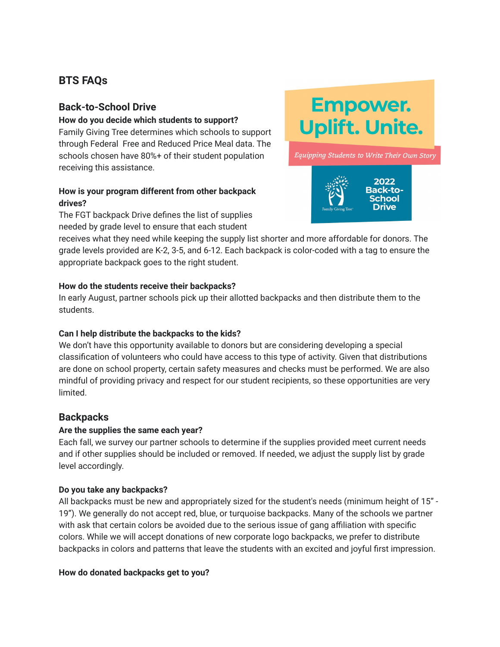# **BTS FAQs**

# **Back-to-School Drive**

#### **How do you decide which students to support?**

Family Giving Tree determines which schools to support through Federal Free and Reduced Price Meal data. The schools chosen have 80%+ of their student population receiving this assistance.

### **How is your program different from other backpack drives?**

The FGT backpack Drive defines the list of supplies needed by grade level to ensure that each student



Equipping Students to Write Their Own Story



receives what they need while keeping the supply list shorter and more affordable for donors. The grade levels provided are K-2, 3-5, and 6-12. Each backpack is color-coded with a tag to ensure the appropriate backpack goes to the right student.

# **How do the students receive their backpacks?**

In early August, partner schools pick up their allotted backpacks and then distribute them to the students.

# **Can I help distribute the backpacks to the kids?**

We don't have this opportunity available to donors but are considering developing a special classification of volunteers who could have access to this type of activity. Given that distributions are done on school property, certain safety measures and checks must be performed. We are also mindful of providing privacy and respect for our student recipients, so these opportunities are very limited.

# **Backpacks**

# **Are the supplies the same each year?**

Each fall, we survey our partner schools to determine if the supplies provided meet current needs and if other supplies should be included or removed. If needed, we adjust the supply list by grade level accordingly.

# **Do you take any backpacks?**

All backpacks must be new and appropriately sized for the student's needs (minimum height of 15" - 19"). We generally do not accept red, blue, or turquoise backpacks. Many of the schools we partner with ask that certain colors be avoided due to the serious issue of gang affiliation with specific colors. While we will accept donations of new corporate logo backpacks, we prefer to distribute backpacks in colors and patterns that leave the students with an excited and joyful first impression.

# **How do donated backpacks get to you?**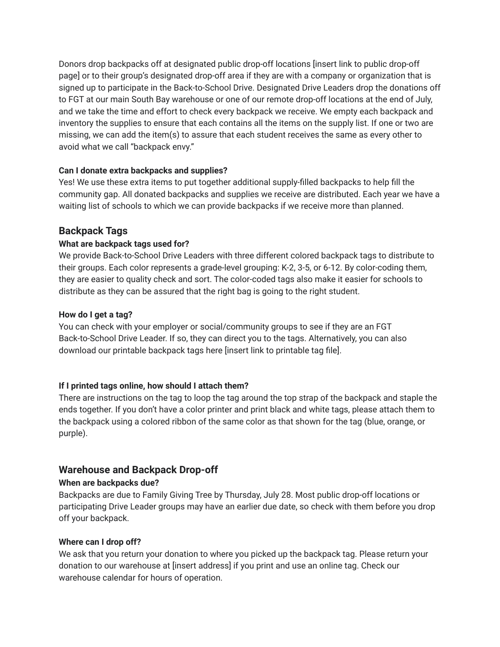Donors drop backpacks off at designated public drop-off locations [insert link to public drop-off page] or to their group's designated drop-off area if they are with a company or organization that is signed up to participate in the Back-to-School Drive. Designated Drive Leaders drop the donations off to FGT at our main South Bay warehouse or one of our remote drop-off locations at the end of July, and we take the time and effort to check every backpack we receive. We empty each backpack and inventory the supplies to ensure that each contains all the items on the supply list. If one or two are missing, we can add the item(s) to assure that each student receives the same as every other to avoid what we call "backpack envy."

#### **Can I donate extra backpacks and supplies?**

Yes! We use these extra items to put together additional supply-filled backpacks to help fill the community gap. All donated backpacks and supplies we receive are distributed. Each year we have a waiting list of schools to which we can provide backpacks if we receive more than planned.

# **Backpack Tags**

#### **What are backpack tags used for?**

We provide Back-to-School Drive Leaders with three different colored backpack tags to distribute to their groups. Each color represents a grade-level grouping: K-2, 3-5, or 6-12. By color-coding them, they are easier to quality check and sort. The color-coded tags also make it easier for schools to distribute as they can be assured that the right bag is going to the right student.

#### **How do I get a tag?**

You can check with your employer or social/community groups to see if they are an FGT Back-to-School Drive Leader. If so, they can direct you to the tags. Alternatively, you can also download our printable backpack tags here [insert link to printable tag file].

# **If I printed tags online, how should I attach them?**

There are instructions on the tag to loop the tag around the top strap of the backpack and staple the ends together. If you don't have a color printer and print black and white tags, please attach them to the backpack using a colored ribbon of the same color as that shown for the tag (blue, orange, or purple).

# **Warehouse and Backpack Drop-off**

# **When are backpacks due?**

Backpacks are due to Family Giving Tree by Thursday, July 28. Most public drop-off locations or participating Drive Leader groups may have an earlier due date, so check with them before you drop off your backpack.

#### **Where can I drop off?**

We ask that you return your donation to where you picked up the backpack tag. Please return your donation to our warehouse at [insert address] if you print and use an online tag. Check our warehouse calendar for hours of operation.